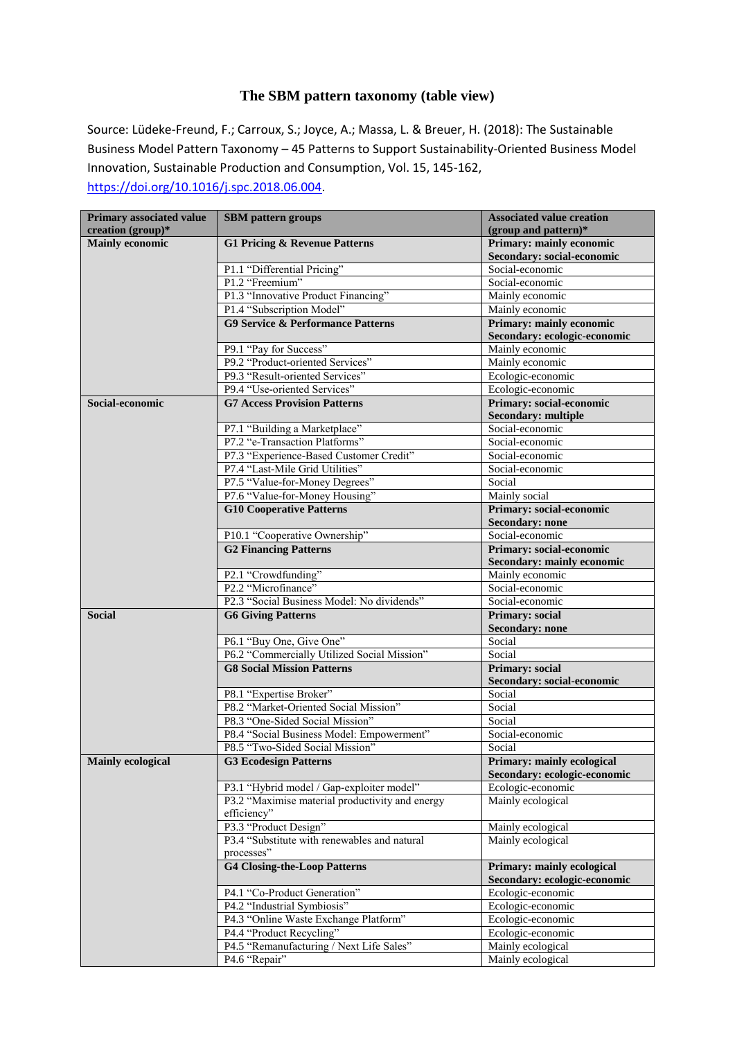## **The SBM pattern taxonomy (table view)**

Source: Lüdeke-Freund, F.; Carroux, S.; Joyce, A.; Massa, L. & Breuer, H. (2018): The Sustainable Business Model Pattern Taxonomy – 45 Patterns to Support Sustainability-Oriented Business Model Innovation, Sustainable Production and Consumption, Vol. 15, 145-162, [https://doi.org/10.1016/j.spc.2018.06.004.](https://doi.org/10.1016/j.spc.2018.06.004)

| Primary associated value<br>creation (group)* | <b>SBM</b> pattern groups                       | <b>Associated value creation</b><br>(group and pattern) $*$ |
|-----------------------------------------------|-------------------------------------------------|-------------------------------------------------------------|
| <b>Mainly economic</b>                        | <b>G1 Pricing &amp; Revenue Patterns</b>        | Primary: mainly economic                                    |
|                                               |                                                 | Secondary: social-economic                                  |
|                                               | P1.1 "Differential Pricing"                     | Social-economic                                             |
|                                               | P1.2 "Freemium"                                 | Social-economic                                             |
|                                               | P1.3 "Innovative Product Financing"             | Mainly economic                                             |
|                                               | P1.4 "Subscription Model"                       | Mainly economic                                             |
|                                               | <b>G9 Service &amp; Performance Patterns</b>    | Primary: mainly economic                                    |
|                                               |                                                 | Secondary: ecologic-economic                                |
|                                               | P9.1 "Pay for Success"                          | Mainly economic                                             |
|                                               | P9.2 "Product-oriented Services"                | Mainly economic                                             |
|                                               | P9.3 "Result-oriented Services"                 | Ecologic-economic                                           |
|                                               | P9.4 "Use-oriented Services"                    | Ecologic-economic                                           |
| Social-economic                               | <b>G7 Access Provision Patterns</b>             | Primary: social-economic<br><b>Secondary: multiple</b>      |
|                                               | P7.1 "Building a Marketplace"                   | Social-economic                                             |
|                                               | P7.2 "e-Transaction Platforms"                  | Social-economic                                             |
|                                               | P7.3 "Experience-Based Customer Credit"         | Social-economic                                             |
|                                               | P7.4 "Last-Mile Grid Utilities"                 | Social-economic                                             |
|                                               | P7.5 "Value-for-Money Degrees"                  | Social                                                      |
|                                               | P7.6 "Value-for-Money Housing"                  | Mainly social                                               |
|                                               | <b>G10 Cooperative Patterns</b>                 | Primary: social-economic                                    |
|                                               |                                                 | <b>Secondary: none</b>                                      |
|                                               | P10.1 "Cooperative Ownership"                   | Social-economic                                             |
|                                               | <b>G2 Financing Patterns</b>                    | Primary: social-economic                                    |
|                                               |                                                 | Secondary: mainly economic                                  |
|                                               | P2.1 "Crowdfunding"                             | Mainly economic                                             |
|                                               | P2.2 "Microfinance"                             | Social-economic                                             |
|                                               | P2.3 "Social Business Model: No dividends"      | Social-economic                                             |
| <b>Social</b>                                 | <b>G6 Giving Patterns</b>                       | Primary: social                                             |
|                                               |                                                 | <b>Secondary: none</b>                                      |
|                                               | P6.1 "Buy One, Give One"                        | Social                                                      |
|                                               | P6.2 "Commercially Utilized Social Mission"     | Social                                                      |
|                                               | <b>G8 Social Mission Patterns</b>               | Primary: social                                             |
|                                               |                                                 | Secondary: social-economic                                  |
|                                               | P8.1 "Expertise Broker"                         | Social                                                      |
|                                               | P8.2 "Market-Oriented Social Mission"           | Social                                                      |
|                                               | P8.3 "One-Sided Social Mission"                 | Social                                                      |
|                                               | P8.4 "Social Business Model: Empowerment"       | Social-economic                                             |
|                                               | P8.5 "Two-Sided Social Mission"                 | Social                                                      |
| <b>Mainly ecological</b>                      | <b>G3 Ecodesign Patterns</b>                    | Primary: mainly ecological<br>Secondary: ecologic-economic  |
|                                               | P3.1 "Hybrid model / Gap-exploiter model"       | Ecologic-economic                                           |
|                                               | P3.2 "Maximise material productivity and energy | Mainly ecological                                           |
|                                               | efficiency"                                     |                                                             |
|                                               | P3.3 "Product Design"                           | Mainly ecological                                           |
|                                               | P3.4 "Substitute with renewables and natural    | Mainly ecological                                           |
|                                               | processes"                                      |                                                             |
|                                               | <b>G4 Closing-the-Loop Patterns</b>             | Primary: mainly ecological<br>Secondary: ecologic-economic  |
|                                               | P4.1 "Co-Product Generation"                    | Ecologic-economic                                           |
|                                               | P4.2 "Industrial Symbiosis"                     | Ecologic-economic                                           |
|                                               | P4.3 "Online Waste Exchange Platform"           | Ecologic-economic                                           |
|                                               | P4.4 "Product Recycling"                        | Ecologic-economic                                           |
|                                               | P4.5 "Remanufacturing / Next Life Sales"        | Mainly ecological                                           |
|                                               | P4.6 "Repair"                                   | Mainly ecological                                           |